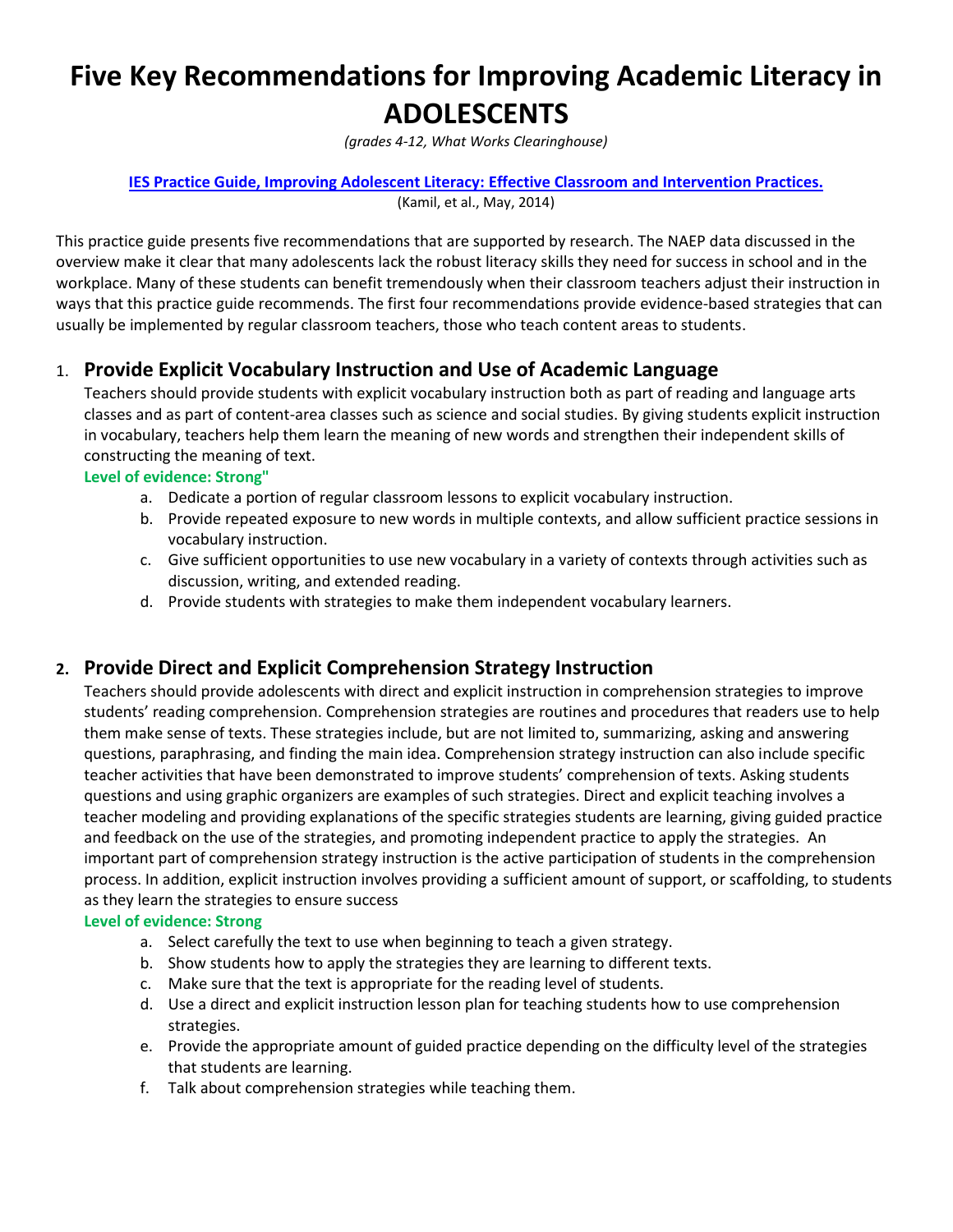# **Five Key Recommendations for Improving Academic Literacy in ADOLESCENTS**

*(grades 4-12, What Works Clearinghouse)*

#### **[IES Practice Guide, Improving Adolescent Literacy: Effective Classroom and Intervention Practices.](http://ies.ed.gov/ncee/wwc/pdf/practice_guides/adlit_pg_082608.pdf)** (Kamil, et al., May, 2014)

This practice guide presents five recommendations that are supported by research. The NAEP data discussed in the overview make it clear that many adolescents lack the robust literacy skills they need for success in school and in the workplace. Many of these students can benefit tremendously when their classroom teachers adjust their instruction in ways that this practice guide recommends. The first four recommendations provide evidence-based strategies that can usually be implemented by regular classroom teachers, those who teach content areas to students.

## 1. **Provide Explicit Vocabulary Instruction and Use of Academic Language**

Teachers should provide students with explicit vocabulary instruction both as part of reading and language arts classes and as part of content-area classes such as science and social studies. By giving students explicit instruction in vocabulary, teachers help them learn the meaning of new words and strengthen their independent skills of constructing the meaning of text.

#### **Level of evidence: Strong"**

- a. Dedicate a portion of regular classroom lessons to explicit vocabulary instruction.
- b. Provide repeated exposure to new words in multiple contexts, and allow sufficient practice sessions in vocabulary instruction.
- c. Give sufficient opportunities to use new vocabulary in a variety of contexts through activities such as discussion, writing, and extended reading.
- d. Provide students with strategies to make them independent vocabulary learners.

## **2. Provide Direct and Explicit Comprehension Strategy Instruction**

Teachers should provide adolescents with direct and explicit instruction in comprehension strategies to improve students' reading comprehension. Comprehension strategies are routines and procedures that readers use to help them make sense of texts. These strategies include, but are not limited to, summarizing, asking and answering questions, paraphrasing, and finding the main idea. Comprehension strategy instruction can also include specific teacher activities that have been demonstrated to improve students' comprehension of texts. Asking students questions and using graphic organizers are examples of such strategies. Direct and explicit teaching involves a teacher modeling and providing explanations of the specific strategies students are learning, giving guided practice and feedback on the use of the strategies, and promoting independent practice to apply the strategies. An important part of comprehension strategy instruction is the active participation of students in the comprehension process. In addition, explicit instruction involves providing a sufficient amount of support, or scaffolding, to students as they learn the strategies to ensure success

### **Level of evidence: Strong**

- a. Select carefully the text to use when beginning to teach a given strategy.
- b. Show students how to apply the strategies they are learning to different texts.
- c. Make sure that the text is appropriate for the reading level of students.
- d. Use a direct and explicit instruction lesson plan for teaching students how to use comprehension strategies.
- e. Provide the appropriate amount of guided practice depending on the difficulty level of the strategies that students are learning.
- f. Talk about comprehension strategies while teaching them.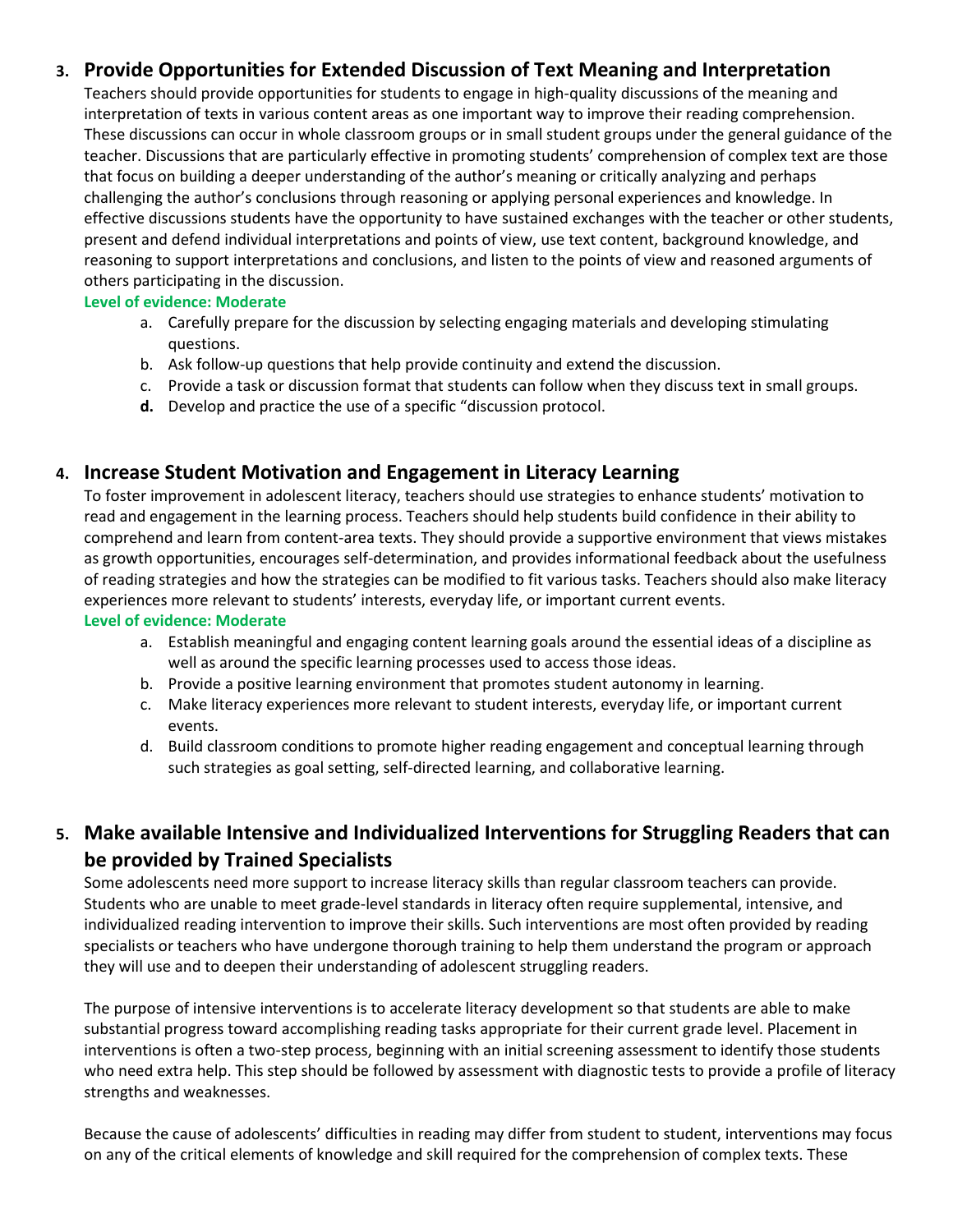## **3. Provide Opportunities for Extended Discussion of Text Meaning and Interpretation**

Teachers should provide opportunities for students to engage in high-quality discussions of the meaning and interpretation of texts in various content areas as one important way to improve their reading comprehension. These discussions can occur in whole classroom groups or in small student groups under the general guidance of the teacher. Discussions that are particularly effective in promoting students' comprehension of complex text are those that focus on building a deeper understanding of the author's meaning or critically analyzing and perhaps challenging the author's conclusions through reasoning or applying personal experiences and knowledge. In effective discussions students have the opportunity to have sustained exchanges with the teacher or other students, present and defend individual interpretations and points of view, use text content, background knowledge, and reasoning to support interpretations and conclusions, and listen to the points of view and reasoned arguments of others participating in the discussion.

### **Level of evidence: Moderate**

- a. Carefully prepare for the discussion by selecting engaging materials and developing stimulating questions.
- b. Ask follow-up questions that help provide continuity and extend the discussion.
- c. Provide a task or discussion format that students can follow when they discuss text in small groups.
- **d.** Develop and practice the use of a specific "discussion protocol.

## **4. Increase Student Motivation and Engagement in Literacy Learning**

To foster improvement in adolescent literacy, teachers should use strategies to enhance students' motivation to read and engagement in the learning process. Teachers should help students build confidence in their ability to comprehend and learn from content-area texts. They should provide a supportive environment that views mistakes as growth opportunities, encourages self-determination, and provides informational feedback about the usefulness of reading strategies and how the strategies can be modified to fit various tasks. Teachers should also make literacy experiences more relevant to students' interests, everyday life, or important current events.

#### **Level of evidence: Moderate**

- a. Establish meaningful and engaging content learning goals around the essential ideas of a discipline as well as around the specific learning processes used to access those ideas.
- b. Provide a positive learning environment that promotes student autonomy in learning.
- c. Make literacy experiences more relevant to student interests, everyday life, or important current events.
- d. Build classroom conditions to promote higher reading engagement and conceptual learning through such strategies as goal setting, self-directed learning, and collaborative learning.

# **5. Make available Intensive and Individualized Interventions for Struggling Readers that can be provided by Trained Specialists**

Some adolescents need more support to increase literacy skills than regular classroom teachers can provide. Students who are unable to meet grade-level standards in literacy often require supplemental, intensive, and individualized reading intervention to improve their skills. Such interventions are most often provided by reading specialists or teachers who have undergone thorough training to help them understand the program or approach they will use and to deepen their understanding of adolescent struggling readers.

The purpose of intensive interventions is to accelerate literacy development so that students are able to make substantial progress toward accomplishing reading tasks appropriate for their current grade level. Placement in interventions is often a two-step process, beginning with an initial screening assessment to identify those students who need extra help. This step should be followed by assessment with diagnostic tests to provide a profile of literacy strengths and weaknesses.

Because the cause of adolescents' difficulties in reading may differ from student to student, interventions may focus on any of the critical elements of knowledge and skill required for the comprehension of complex texts. These